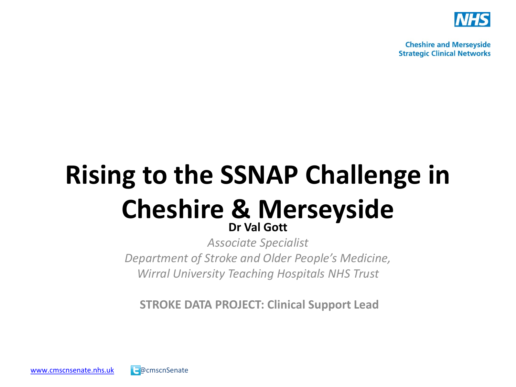

# **Rising to the SSNAP Challenge in Cheshire & Merseyside**

*Associate Specialist Department of Stroke and Older People's Medicine, Wirral University Teaching Hospitals NHS Trust* 

**STROKE DATA PROJECT: Clinical Support Lead**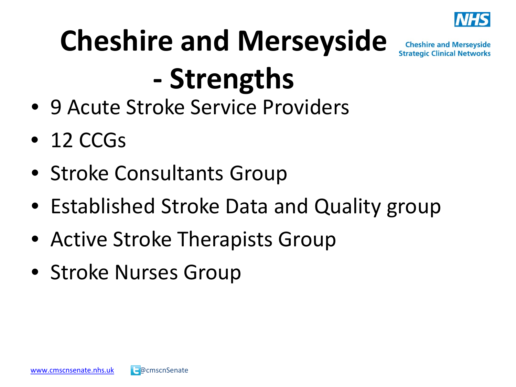

# **Cheshire and Merseyside - Strengths**

- 9 Acute Stroke Service Providers
- $\bullet$  12 CCGs
- Stroke Consultants Group
- Established Stroke Data and Quality group
- Active Stroke Therapists Group
- Stroke Nurses Group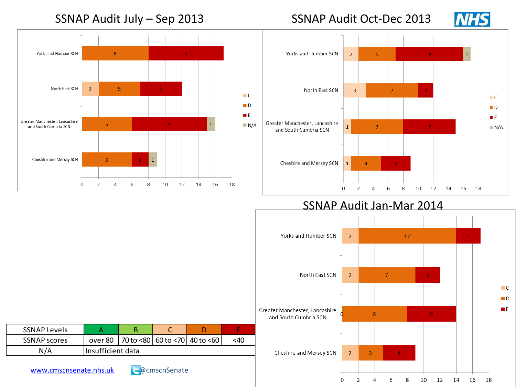#### SSNAP Audit July – Sep 2013 SSNAP Audit Oct-Dec 2013





SSNAP Audit Jan-Mar 2014



| <b>SSNAP Levels</b> |                   |  |  |                                             |     |  |  |  |  |
|---------------------|-------------------|--|--|---------------------------------------------|-----|--|--|--|--|
| <b>SSNAP scores</b> |                   |  |  | over 80   70 to <80   60 to <70   40 to <60 | <40 |  |  |  |  |
| N/A                 | Insufficient data |  |  |                                             |     |  |  |  |  |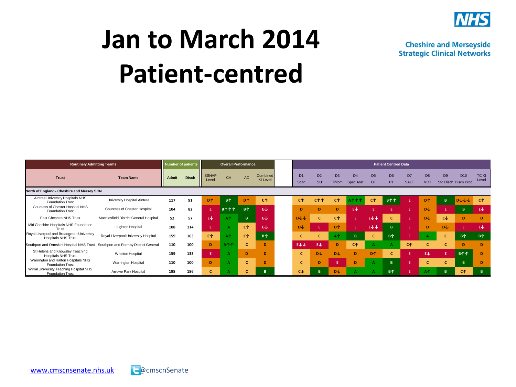

#### **Jan to March 2014 Patient-centred**

| <b>Routinely Admitting Teams</b>                                        | Number of patients                     |       |              | <b>Overall Performance</b> |                                |                       |                             | <b>Patient Centred Data</b> |                        |                      |                         |                             |                       |                             |                               |                              |                |                                         |                       |
|-------------------------------------------------------------------------|----------------------------------------|-------|--------------|----------------------------|--------------------------------|-----------------------|-----------------------------|-----------------------------|------------------------|----------------------|-------------------------|-----------------------------|-----------------------|-----------------------------|-------------------------------|------------------------------|----------------|-----------------------------------------|-----------------------|
| <b>Trust</b>                                                            | <b>Team Name</b>                       | Admit | <b>Disch</b> | <b>SSNAP</b><br>Level      | CA                             | AC                    | Combined<br><b>KI Level</b> |                             | D <sub>1</sub><br>Scan | D <sub>2</sub><br>SU | D <sub>3</sub><br>Throm | D <sub>4</sub><br>Spec Asst | D <sub>5</sub><br>OT  | D <sub>6</sub><br><b>PT</b> | D <sub>7</sub><br><b>SALT</b> | D <sub>8</sub><br><b>MDT</b> | D <sub>9</sub> | D <sub>10</sub><br>Std Disch Disch Proc | <b>TCKI</b><br>Level  |
| North of England - Cheshire and Mersey SCN                              |                                        |       |              |                            |                                |                       |                             |                             |                        |                      |                         |                             |                       |                             |                               |                              |                |                                         |                       |
| Aintree University Hospitals NHS<br><b>Foundation Trust</b>             | University Hospital Aintree            | 117   | 91           | <b>D</b> <sup></sup>       | <b>B</b> <sup>↑</sup>          | D <sup>1</sup>        | СŶ                          |                             | <b>C</b> <sup>+</sup>  | <b>C个个</b>           | СŶ                      |                             | <b>C</b> <sup>+</sup> | B个个                         |                               | D <sup>1</sup>               | B              | $D + + +$                               | <b>C</b> <sup>+</sup> |
| Countess of Chester Hospital NHS<br><b>Foundation Trust</b>             | Countess of Chester Hospital           | 104   | 82           |                            | $B \uparrow \uparrow \uparrow$ | <b>B</b> <sup>↑</sup> | EJ.                         |                             | D                      | D                    | D                       | EJ                          |                       |                             | Æ                             | <b>DJ</b>                    | Ε              | B                                       | ΕV                    |
| East Cheshire NHS Trust                                                 | Macclesfield District General Hospital | 52    | 57           | Εψ                         | A <sup>+</sup>                 | B                     | Εψ                          |                             | $D\psi\psi$            |                      | <b>C</b> <sup>+</sup>   | E.                          | EVV.                  |                             |                               | <b>D</b>                     | $c\psi$        | D                                       | Ð                     |
| Mid Cheshire Hospitals NHS Foundation<br>Trust                          | Leighton Hospital                      | 108   | 114          |                            |                                | <b>C</b> <sup>+</sup> | EJ                          |                             | <b>DJ</b>              | F                    | <b>D</b> <sup>↑</sup>   | E                           | $E\psi\psi$           | B.                          |                               | D                            | <b>DJ</b>      |                                         | €↓                    |
| Royal Liverpool and Broadgreen University<br><b>Hospitals NHS Trust</b> | Royal Liverpool University Hospital    | 159   | 163          | <b>C</b> <sup>+</sup>      | A <sup>+</sup>                 | C <sup>↑</sup>        | <b>B个</b>                   |                             | c                      | Ċ                    | A <sup>+</sup>          | B                           | c                     | <b>B</b> <sup>↑</sup>       |                               |                              |                | <b>B</b> <sup>↑</sup>                   | <b>B个</b>             |
| Southport and Ormskirk Hospital NHS Trust                               | Southport and Formby District General  | 110   | 100          | D                          | A <sup>1</sup>                 |                       | D                           |                             | E↓↓                    | EJ                   | D                       | <b>C</b> <sup>+</sup>       |                       |                             | СŶ                            |                              | c              | D                                       | D.                    |
| St Helens and Knowsley Teaching<br><b>Hospitals NHS Trust</b>           | Whiston Hospital                       | 159   | 133          |                            |                                | D                     | D                           |                             | c                      | <b>D</b>             | <b>D</b>                | Ð                           | D <sup>1</sup>        |                             |                               | EJ.                          | F              | $B^{\uparrow}$                          | D                     |
| Warrington and Halton Hospitals NHS<br><b>Foundation Trust</b>          | Warrington Hospital                    | 110   | 100          | D                          |                                |                       | D                           |                             | c                      | D                    | Œ                       | D                           |                       | $\mathbf{B}$                |                               |                              |                | $\overline{B}$                          | D                     |
| Wirral University Teaching Hospital NHS<br><b>Foundation Trust</b>      | Arrowe Park Hospital                   | 198   | 186          | c                          |                                |                       | B                           |                             | $c\psi$                |                      | D↓                      |                             |                       | <b>B</b> <sup>↑</sup>       |                               | A <sup>+</sup>               | B              | <b>C</b> <sup>+</sup>                   |                       |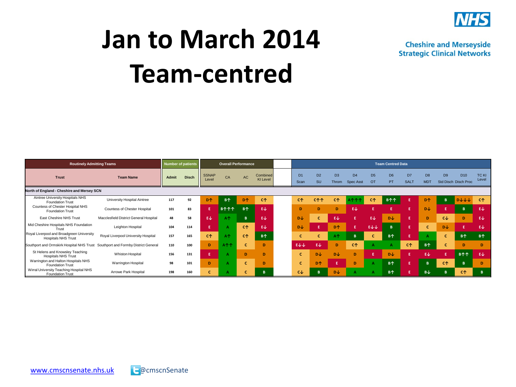

#### **Jan to March 2014 Team-centred**

**Routinely Admitting Teams Number of patients Number of patients Overall Performance Team Centred Data Team Centred Data Trust The SSNAP Team Name Admit Disch** SSNAP Level CA AC Combined KI Level D1 D2 D3 D4 D5 D6 D7 D8 D9 D10 TC KI Scan SU Throm Spec Asst OT PT SALT MDT Std Disch Disch Proc Level **North of England - Cheshire and Mersey SCN** Aintree University Hospitals NHS Foundation Trust University Hospital Aintree **<sup>117</sup> <sup>92</sup> D↑ B↑ D↑ C↑ C↑ C↑↑ C↑ A↑↑↑ C↑ B↑↑ E D↑ B D↓↓↓ C↑** Countess of Chester Hospital NHS Foundation Trust Countess of Chester Hospital **<sup>101</sup> <sup>83</sup> E B↑↑↑ B↑ E↓ D D D E↓ E E E D↓ E B E↓** East Cheshire NHS Trust Macclesfield District General Hospital 48 58 EV AT B EV DU C BU C EV E EV DU E D CV D EV Mid Cheshire Hospitals NHS Foundation Trust Leighton Hospital **<sup>104</sup> <sup>114</sup> E A C↑ E↓ D↓ E D↑ E E↓↓ B E C D↓ E E↓** Royal Liverpool and Broadgreen University<br>Hospitals NHS Trust Hospitals NHS Trust Royal Liverpool University Hospital **<sup>157</sup> <sup>165</sup> C↑ A↑ C↑ B↑ C C A↑ B C B↑ E A C B↑ B↑** Southport and Ormskirk Hospital NHS Trust Southport and Formby District General 110 100 D A个个 C D B EV EV EV D C个 A A C个 B1 C D D D St Helens and Knowsley Teaching<br>Hospitals NHS Trust in sun vurvonsion treaturing Whiston Hospital 156 131 **E A D D C D↓ D↓ D E D↓ E D↓ E B↑↑** E↓ Warrington and Halton Hospitals NHS Foundation Trust Warrington Hospital **<sup>98</sup> <sup>101</sup> D A C D C D↑ E D A B↑ E B C↑ B D** Wirral University Teaching Hospital NHS Foundation Trust Arrowe Park Hospital **<sup>198</sup> <sup>160</sup> C A C B C↓ B D↓ A A B↑ E B↓ B C↑ B**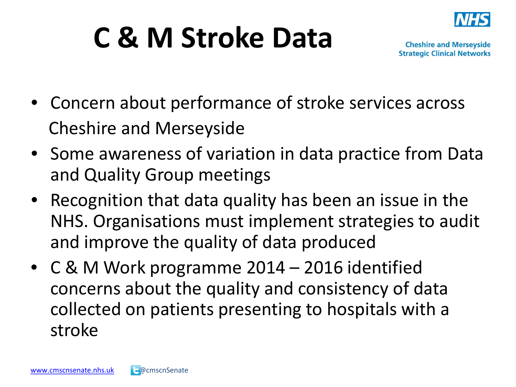

#### **C & M Stroke Data**

- Concern about performance of stroke services across Cheshire and Merseyside
- Some awareness of variation in data practice from Data and Quality Group meetings
- Recognition that data quality has been an issue in the NHS. Organisations must implement strategies to audit and improve the quality of data produced
- C & M Work programme 2014 2016 identified concerns about the quality and consistency of data collected on patients presenting to hospitals with a stroke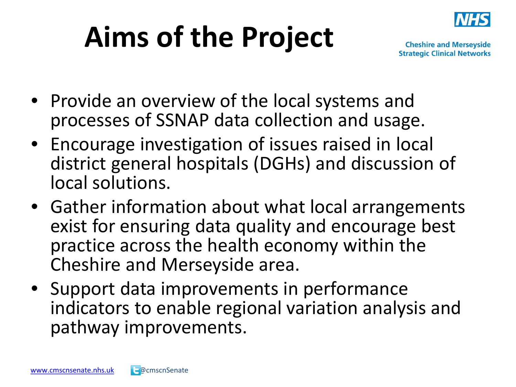#### **Aims of the Project**



- Provide an overview of the local systems and processes of SSNAP data collection and usage.
- Encourage investigation of issues raised in local district general hospitals (DGHs) and discussion of local solutions.
- Gather information about what local arrangements exist for ensuring data quality and encourage best practice across the health economy within the Cheshire and Merseyside area.
- Support data improvements in performance indicators to enable regional variation analysis and pathway improvements.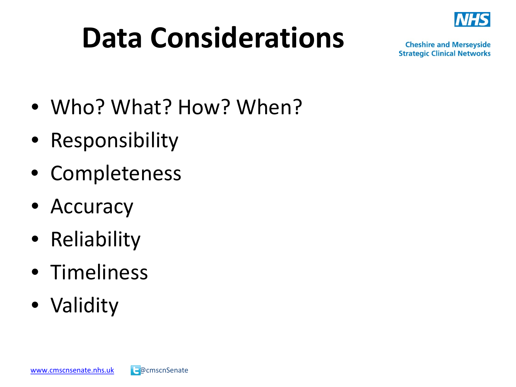#### **Data Considerations**



- Who? What? How? When?
- Responsibility
- Completeness
- Accuracy
- Reliability
- Timeliness
- Validity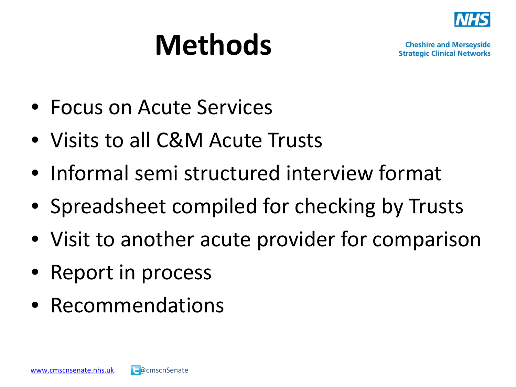

#### **Methods**

- Focus on Acute Services
- Visits to all C&M Acute Trusts
- Informal semi structured interview format
- Spreadsheet compiled for checking by Trusts
- Visit to another acute provider for comparison
- Report in process
- Recommendations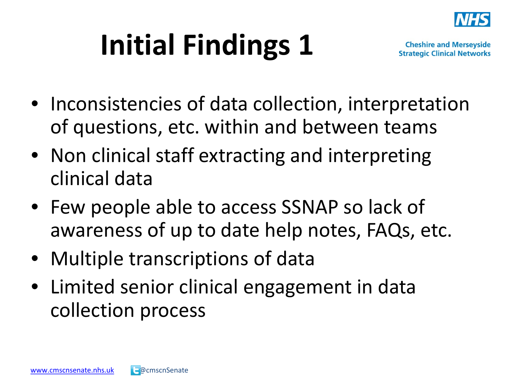

### **Initial Findings 1**

- Inconsistencies of data collection, interpretation of questions, etc. within and between teams
- Non clinical staff extracting and interpreting clinical data
- Few people able to access SSNAP so lack of awareness of up to date help notes, FAQs, etc.
- Multiple transcriptions of data
- Limited senior clinical engagement in data collection process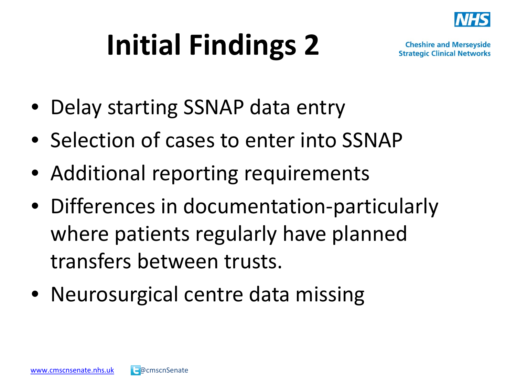

### **Initial Findings 2**

- Delay starting SSNAP data entry
- Selection of cases to enter into SSNAP
- Additional reporting requirements
- Differences in documentation-particularly where patients regularly have planned transfers between trusts.
- Neurosurgical centre data missing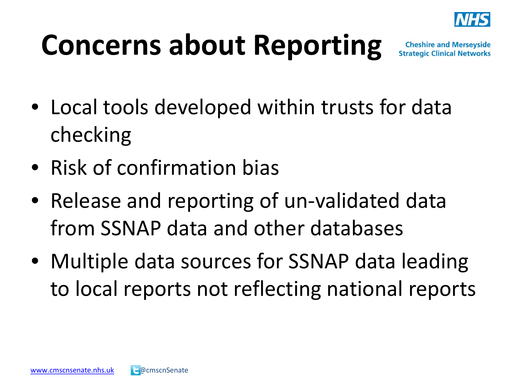

#### **Concerns about Reporting**

- Local tools developed within trusts for data checking
- Risk of confirmation bias
- Release and reporting of un-validated data from SSNAP data and other databases
- Multiple data sources for SSNAP data leading to local reports not reflecting national reports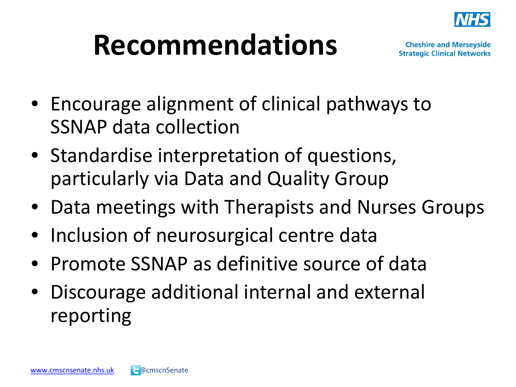

#### **Recommendations**

- Encourage alignment of clinical pathways to SSNAP data collection
- Standardise interpretation of questions, particularly via Data and Quality Group
- Data meetings with Therapists and Nurses Groups
- Inclusion of neurosurgical centre data
- Promote SSNAP as definitive source of data
- Discourage additional internal and external reporting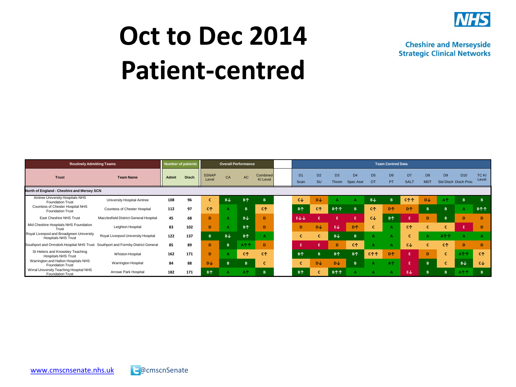

#### **Oct to Dec 2014 Patient-centred**

**Routinely Admitting Teams Number of patients Coverall Performance Team Centred Data Team Centred Data Trust The SSNAP CONSTRUCTER TEAM NAme Admit Disch** SSNAP SSNAP CA AC Combined<br>Level CA AC KI Level KI Level D1 D2 D3 D4 D5 D6 D7 D8 D9 D10 TC KI Scan SU Throm Spec Asst OT PT SALT MDT Std Disch Disch Proc<sup>Level</sup> **North of England - Cheshire and Mersey SCN** Aintree University Hospitals NHS Foundation Trust University Hospital Aintree **108 96 C B↓ B↑ B C↓ D↓ A A B↓ B C↑↑ D↓ A↑ B B** Countess of Chester Hospital NHS Foundation Trust Countess of Chester Hospital **112 97 C↑ A B C↑ B↑ C↑ B↑↑ B C↑ D↑ D↑ B B A B↑↑** East Cheshire NHS Trust Macclesfield District General Hospital **45 68 D A B↓ D E↓↓ E E E C↓ B↑ E D B D D** Mid Cheshire Hospitals NHS Foundation Trust Leighton Hospital **83 102 D A B↑ D D D↓ E↓ D↑ C A C↑ C C E D** Royal Liverpool and Broadgreen University<br>Hospitals NHS Trust Hospitals NHS Trust Royal Liverpool University Hospital **122 137 B B↓ B↑ A C C B↓ B A A C A A↑↑ A A** Southport and Ormskirk Hospital NHS Trust Southport and Formby District General 85 89 D B A个个 D E E D C个 A A C↓ C C个 D D St Helens and Knowsley Teaching<br>Hospitals NHS Trust an an unturnamely reauting treauting Whiston Hospital **162 171 D A C↑ C↑ B↑** B↑ B↑ B↑ C↑↑ D↑ E D C A↑↑ C↑ Warrington and Halton Hospitals NHS Foundation Trust Warrington Hospital **84 88 D↓ B B C C D↓ D↓ B A A↑ E B C B↓ C↓** Wirral University Teaching Hospital NHS<br>Foundation Trust Foundation Trust Arrowe Park Hospital **182 171 B↑ A A↑ B B↑ C B↑↑ A A A E↓ B B A↑↑ B**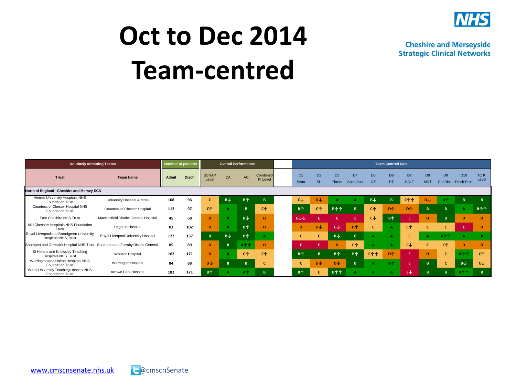

#### **Oct to Dec 2014 Team-centred**

**Routinely Admitting Teams Number of patients Coverall Performance Team Centred Data Team Centred Data Trust The SSNAP CONSTRUCTER TEAM NAme Admit Disch** SSNAP SSNAP CA AC Combined<br>Level CA AC KI Level KI Level D1 D2 D3 D4 D5 D6 D7 D8 D9 D10 TC KI Scan SU Throm Spec Asst OT PT SALT MDT Std Disch Disch Proc<sup>Level</sup> **North of England - Cheshire and Mersey SCN** Aintree University Hospitals NHS Foundation Trust University Hospital Aintree **108 96 C B↓ B↑ B C↓ D↓ A A B↓ B C↑↑ D↓ A↑ B B** Countess of Chester Hospital NHS Foundation Trust Countess of Chester Hospital **112 97 C↑ A B C↑ B↑ C↑ B↑↑ B C↑ D↑ D↑ B B A B↑↑** East Cheshire NHS Trust Macclesfield District General Hospital **45 68 D A B↓ D E↓↓ E E E C↓ B↑ E D B D D** Mid Cheshire Hospitals NHS Foundation Trust Leighton Hospital **83 102 D A B↑ D D D↓ E↓ D↑ C A C↑ C C E D** Royal Liverpool and Broadgreen University<br>Hospitals NHS Trust Hospitals NHS Trust Royal Liverpool University Hospital **122 137 B B↓ B↑ A C C B↓ B A A C A A↑↑ A A** Southport and Ormskirk Hospital NHS Trust Southport and Formby District General 85 89 D B A个个 D E E D C个 A A C↓ C C个 D D St Helens and Knowsley Teaching<br>Hospitals NHS Trust an an unturnamely reauting treauting Whiston Hospital **162 171 D A C↑ C↑ B↑** B↑ B↑ B↑ C↑↑ D↑ E D C A↑↑ C↑ Warrington and Halton Hospitals NHS Foundation Trust Warrington Hospital **84 88 D↓ B B C C D↓ D↓ B A A↑ E B C B↓ C↓** Wirral University Teaching Hospital NHS<br>Foundation Trust Foundation Trust Arrowe Park Hospital **182 171 B↑ A A↑ B B↑ C B↑↑ A A A E↓ B B A↑↑ B**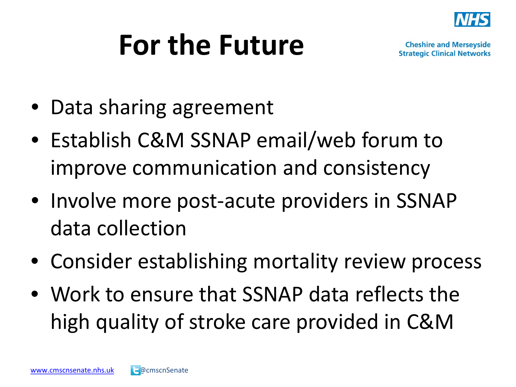

#### **For the Future**

- Data sharing agreement
- Establish C&M SSNAP email/web forum to improve communication and consistency
- Involve more post-acute providers in SSNAP data collection
- Consider establishing mortality review process
- Work to ensure that SSNAP data reflects the high quality of stroke care provided in C&M